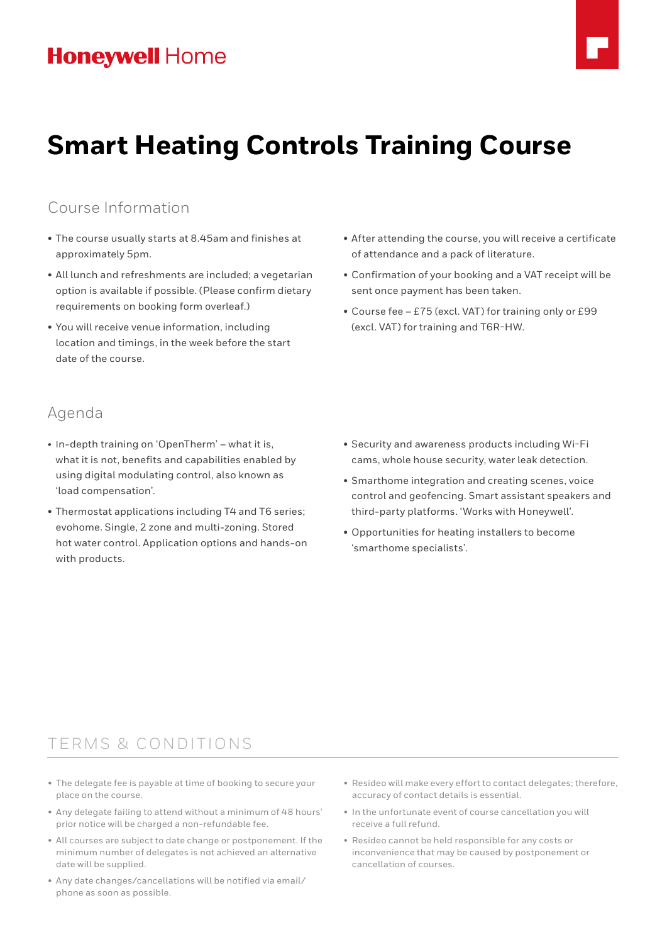# **Honeywell Home**



### Course Information

- The course usually starts at 8.45am and finishes at approximately 5pm.
- All lunch and refreshments are included; a vegetarian option is available if possible. (Please confirm dietary requirements on booking form overleaf.)
- You will receive venue information, including location and timings, in the week before the start date of the course.

### Agenda

- In-depth training on 'OpenTherm' what it is, what it is not, benefits and capabilities enabled by using digital modulating control, also known as 'load compensation'.
- Thermostat applications including T4 and T6 series; evohome. Single, 2 zone and multi-zoning. Stored hot water control. Application options and hands-on with products.
- After attending the course, you will receive a certificate of attendance and a pack of literature.
- Confirmation of your booking and a VAT receipt will be sent once payment has been taken.
- Course fee £75 (excl. VAT) for training only or £99 (excl. VAT) for training and T6R-HW.

- Security and awareness products including Wi-Fi cams, whole house security, water leak detection.
- Smarthome integration and creating scenes, voice control and geofencing. Smart assistant speakers and third-party platforms. 'Works with Honeywell'.
- Opportunities for heating installers to become 'smarthome specialists'.

### TERMS & CONDITIONS

- The delegate fee is payable at time of booking to secure your place on the course.
- Any delegate failing to attend without a minimum of 48 hours' prior notice will be charged a non-refundable fee.
- All courses are subject to date change or postponement. If the minimum number of delegates is not achieved an alternative date will be supplied.
- Any date changes/cancellations will be notified via email/ phone as soon as possible.
- Resideo will make every effort to contact delegates; therefore, accuracy of contact details is essential.
- In the unfortunate event of course cancellation you will receive a full refund.
- Resideo cannot be held responsible for any costs or inconvenience that may be caused by postponement or cancellation of courses.